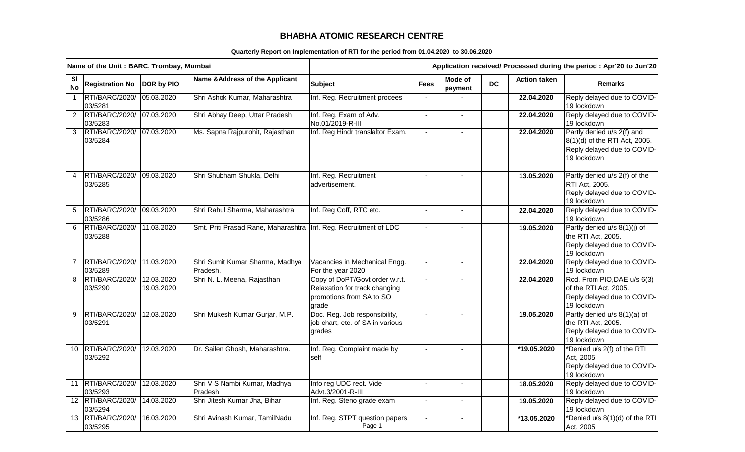## **BHABHA ATOMIC RESEARCH CENTRE**

## **Quarterly Report on Implementation of RTI for the period from 01.04.2020 to 30.06.2020**

| Name of the Unit: BARC, Trombay, Mumbai |                              |                          |                                                                  | Application received/ Processed during the period : Apr'20 to Jun'20                                 |                |                    |           |                     |                                                                                                           |
|-----------------------------------------|------------------------------|--------------------------|------------------------------------------------------------------|------------------------------------------------------------------------------------------------------|----------------|--------------------|-----------|---------------------|-----------------------------------------------------------------------------------------------------------|
| <b>SI</b><br><b>No</b>                  | <b>Registration No</b>       | DOR by PIO               | Name & Address of the Applicant                                  | <b>Subject</b>                                                                                       | <b>Fees</b>    | Mode of<br>payment | <b>DC</b> | <b>Action taken</b> | <b>Remarks</b>                                                                                            |
| $\mathbf{1}$                            | RTI/BARC/2020/<br>03/5281    | 05.03.2020               | Shri Ashok Kumar, Maharashtra                                    | Inf. Reg. Recruitment procees                                                                        | $\sim$         |                    |           | 22.04.2020          | Reply delayed due to COVID-<br>19 lockdown                                                                |
| $\overline{2}$                          | RTI/BARC/2020/<br>03/5283    | 07.03.2020               | Shri Abhay Deep, Uttar Pradesh                                   | Inf. Reg. Exam of Adv.<br>No.01/2019-R-III                                                           | $\blacksquare$ | $\blacksquare$     |           | 22.04.2020          | Reply delayed due to COVID-<br>19 lockdown                                                                |
| 3                                       | RTI/BARC/2020/<br>03/5284    | 07.03.2020               | Ms. Sapna Rajpurohit, Rajasthan                                  | Inf. Reg Hindr translaltor Exam.                                                                     | $\overline{a}$ |                    |           | 22.04.2020          | Partly denied u/s 2(f) and<br>8(1)(d) of the RTI Act, 2005.<br>Reply delayed due to COVID-<br>19 lockdown |
| 4                                       | RTI/BARC/2020/<br>03/5285    | 09.03.2020               | Shri Shubham Shukla, Delhi                                       | Inf. Reg. Recruitment<br>advertisement.                                                              | $\blacksquare$ |                    |           | 13.05.2020          | Partly denied u/s 2(f) of the<br>RTI Act, 2005.<br>Reply delayed due to COVID-<br>19 lockdown             |
| 5                                       | RTI/BARC/2020/<br>03/5286    | 09.03.2020               | Shri Rahul Sharma, Maharashtra                                   | Inf. Reg Coff, RTC etc.                                                                              | $\sim$         |                    |           | 22.04.2020          | Reply delayed due to COVID-<br>19 lockdown                                                                |
| 6                                       | RTI/BARC/2020/<br>03/5288    | 11.03.2020               | Smt. Priti Prasad Rane, Maharashtra Inf. Reg. Recruitment of LDC |                                                                                                      |                |                    |           | 19.05.2020          | Partly denied u/s 8(1)(j) of<br>the RTI Act, 2005.<br>Reply delayed due to COVID-<br>19 lockdown          |
| 7                                       | RTI/BARC/2020/<br>03/5289    | 11.03.2020               | Shri Sumit Kumar Sharma, Madhya<br>Pradesh.                      | Vacancies in Mechanical Engg.<br>For the year 2020                                                   |                |                    |           | 22.04.2020          | Reply delayed due to COVID-<br>19 lockdown                                                                |
| 8                                       | RTI/BARC/2020/<br>03/5290    | 12.03.2020<br>19.03.2020 | Shri N. L. Meena, Rajasthan                                      | Copy of DoPT/Govt order w.r.t.<br>Relaxation for track changing<br>promotions from SA to SO<br>grade |                |                    |           | 22.04.2020          | Rcd. From PIO, DAE u/s 6(3)<br>of the RTI Act, 2005.<br>Reply delayed due to COVID-<br>19 lockdown        |
| 9                                       | RTI/BARC/2020/<br>03/5291    | 12.03.2020               | Shri Mukesh Kumar Gurjar, M.P.                                   | Doc. Reg. Job responsibility,<br>job chart, etc. of SA in various<br>grades                          |                |                    |           | 19.05.2020          | Partly denied u/s 8(1)(a) of<br>the RTI Act, 2005.<br>Reply delayed due to COVID-<br>19 lockdown          |
| 10 <sup>°</sup>                         | RTI/BARC/2020/<br>03/5292    | 12.03.2020               | Dr. Sailen Ghosh, Maharashtra.                                   | Inf. Reg. Complaint made by<br>self                                                                  |                |                    |           | *19.05.2020         | *Denied u/s 2(f) of the RTI<br>Act, 2005.<br>Reply delayed due to COVID-<br>19 lockdown                   |
| 11                                      | RTI/BARC/2020/<br>03/5293    | 12.03.2020               | Shri V S Nambi Kumar, Madhya<br>Pradesh                          | Info reg UDC rect. Vide<br>Advt.3/2001-R-III                                                         | $\blacksquare$ |                    |           | 18.05.2020          | Reply delayed due to COVID-<br>19 lockdown                                                                |
|                                         | 12 RTI/BARC/2020/<br>03/5294 | 14.03.2020               | Shri Jitesh Kumar Jha, Bihar                                     | Inf. Reg. Steno grade exam                                                                           | $\blacksquare$ |                    |           | 19.05.2020          | Reply delayed due to COVID-<br>19 lockdown                                                                |
| 13                                      | RTI/BARC/2020/<br>03/5295    | 16.03.2020               | Shri Avinash Kumar, TamilNadu                                    | Inf. Reg. STPT question papers<br>Page 1                                                             | $\blacksquare$ |                    |           | *13.05.2020         | *Denied u/s 8(1)(d) of the RTI<br>Act, 2005.                                                              |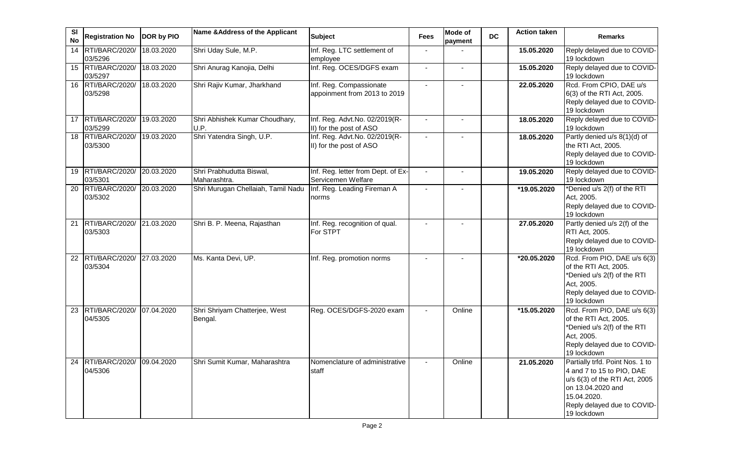| <b>SI</b><br><b>No</b> | <b>Registration No</b>               | DOR by PIO | Name & Address of the Applicant          | <b>Subject</b>                                            | Fees                     | <b>Mode of</b><br>payment | <b>DC</b> | <b>Action taken</b> | <b>Remarks</b>                                                                                                                                                                  |
|------------------------|--------------------------------------|------------|------------------------------------------|-----------------------------------------------------------|--------------------------|---------------------------|-----------|---------------------|---------------------------------------------------------------------------------------------------------------------------------------------------------------------------------|
| 14                     | RTI/BARC/2020/<br>03/5296            | 18.03.2020 | Shri Uday Sule, M.P.                     | Inf. Reg. LTC settlement of<br>employee                   | $\blacksquare$           |                           |           | 15.05.2020          | Reply delayed due to COVID-<br>19 lockdown                                                                                                                                      |
| 15                     | RTI/BARC/2020/<br>03/5297            | 18.03.2020 | Shri Anurag Kanojia, Delhi               | Inf. Reg. OCES/DGFS exam                                  | $\blacksquare$           | $\blacksquare$            |           | 15.05.2020          | Reply delayed due to COVID-<br>19 lockdown                                                                                                                                      |
| 16                     | RTI/BARC/2020/<br>03/5298            | 18.03.2020 | Shri Rajiv Kumar, Jharkhand              | Inf. Reg. Compassionate<br>appoinment from 2013 to 2019   | $\sim$                   | $\blacksquare$            |           | 22.05.2020          | Rcd. From CPIO, DAE u/s<br>6(3) of the RTI Act, 2005.<br>Reply delayed due to COVID-<br>19 lockdown                                                                             |
| 17                     | RTI/BARC/2020/<br>03/5299            | 19.03.2020 | Shri Abhishek Kumar Choudhary,<br>U.P.   | Inf. Reg. Advt.No. 02/2019(R-<br>II) for the post of ASO  | $\sim$                   | $\blacksquare$            |           | 18.05.2020          | Reply delayed due to COVID-<br>19 lockdown                                                                                                                                      |
|                        | 18 RTI/BARC/2020/<br>03/5300         | 19.03.2020 | Shri Yatendra Singh, U.P.                | Inf. Reg. Advt. No. 02/2019(R-<br>II) for the post of ASO |                          |                           |           | 18.05.2020          | Partly denied u/s 8(1)(d) of<br>the RTI Act, 2005.<br>Reply delayed due to COVID-<br>19 lockdown                                                                                |
| 19                     | RTI/BARC/2020/<br>03/5301            | 20.03.2020 | Shri Prabhudutta Biswal,<br>Maharashtra. | Inf. Reg. letter from Dept. of Ex-<br>Servicemen Welfare  |                          | $\sim$                    |           | 19.05.2020          | Reply delayed due to COVID-<br>19 lockdown                                                                                                                                      |
| 20                     | RTI/BARC/2020/<br>03/5302            | 20.03.2020 | Shri Murugan Chellaiah, Tamil Nadu       | Inf. Reg. Leading Fireman A<br>norms                      | $\blacksquare$           | $\blacksquare$            |           | *19.05.2020         | *Denied u/s 2(f) of the RTI<br>Act, 2005.<br>Reply delayed due to COVID-<br>19 lockdown                                                                                         |
| 21                     | RTI/BARC/2020/<br>03/5303            | 21.03.2020 | Shri B. P. Meena, Rajasthan              | Inf. Reg. recognition of qual.<br>For STPT                | $\blacksquare$           |                           |           | 27.05.2020          | Partly denied u/s 2(f) of the<br>RTI Act, 2005.<br>Reply delayed due to COVID-<br>19 lockdown                                                                                   |
| 22                     | RTI/BARC/2020/<br>03/5304            | 27.03.2020 | Ms. Kanta Devi, UP.                      | Inf. Reg. promotion norms                                 | $\overline{\phantom{a}}$ |                           |           | *20.05.2020         | Rcd. From PIO, DAE u/s 6(3)<br>of the RTI Act, 2005.<br>*Denied u/s 2(f) of the RTI<br>Act, 2005.<br>Reply delayed due to COVID-<br>19 lockdown                                 |
| 23                     | RTI/BARC/2020/<br>04/5305            | 07.04.2020 | Shri Shriyam Chatterjee, West<br>Bengal. | Reg. OCES/DGFS-2020 exam                                  |                          | Online                    |           | *15.05.2020         | Rcd. From PIO, DAE u/s 6(3)<br>of the RTI Act, 2005.<br>*Denied u/s 2(f) of the RTI<br>Act, 2005.<br>Reply delayed due to COVID-<br>19 lockdown                                 |
| 24                     | RTI/BARC/2020/ 09.04.2020<br>04/5306 |            | Shri Sumit Kumar, Maharashtra            | Nomenclature of administrative<br>staff                   | $\blacksquare$           | Online                    |           | 21.05.2020          | Partially trfd. Point Nos. 1 to<br>4 and 7 to 15 to PIO, DAE<br>u/s 6(3) of the RTI Act, 2005<br>on 13.04.2020 and<br>15.04.2020.<br>Reply delayed due to COVID-<br>19 lockdown |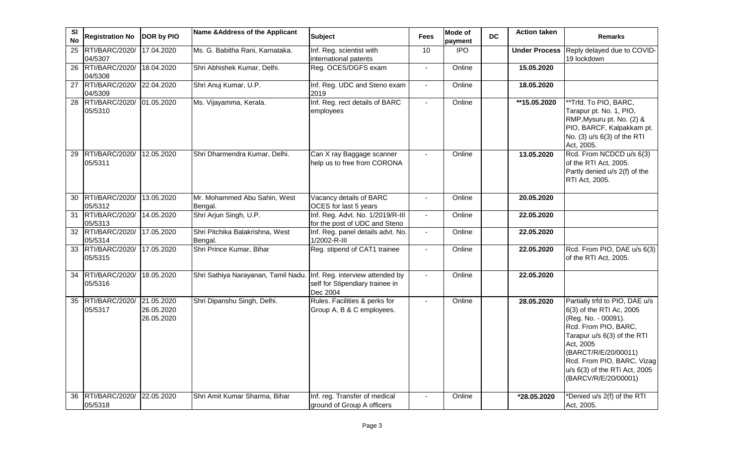| <b>SI</b><br><b>No</b> | <b>Registration No</b>       | DOR by PIO                             | Name & Address of the Applicant            | <b>Subject</b>                                                                 | <b>Fees</b>    | <b>Mode of</b><br>payment | <b>DC</b> | <b>Action taken</b>  | <b>Remarks</b>                                                                                                                                                                                                                                                       |
|------------------------|------------------------------|----------------------------------------|--------------------------------------------|--------------------------------------------------------------------------------|----------------|---------------------------|-----------|----------------------|----------------------------------------------------------------------------------------------------------------------------------------------------------------------------------------------------------------------------------------------------------------------|
| 25                     | RTI/BARC/2020/<br>04/5307    | 17.04.2020                             | Ms. G. Babitha Rani, Karnataka.            | Inf. Reg. scientist with<br>international patents                              | 10             | <b>IPO</b>                |           | <b>Under Process</b> | Reply delayed due to COVID-<br>19 lockdown                                                                                                                                                                                                                           |
| 26                     | RTI/BARC/2020/<br>04/5308    | 18.04.2020                             | Shri Abhishek Kumar, Delhi.                | Reg. OCES/DGFS exam                                                            |                | Online                    |           | 15.05.2020           |                                                                                                                                                                                                                                                                      |
| $\overline{27}$        | RTI/BARC/2020/<br>04/5309    | 22.04.2020                             | Shri Anuj Kumar, U.P.                      | Inf. Reg. UDC and Steno exam<br>2019                                           | $\blacksquare$ | Online                    |           | 18.05.2020           |                                                                                                                                                                                                                                                                      |
| 28                     | RTI/BARC/2020/<br>05/5310    | 01.05.2020                             | Ms. Vijayamma, Kerala.                     | Inf. Reg. rect details of BARC<br>employees                                    | $\overline{a}$ | Online                    |           | **15.05.2020         | **Trfd. To PIO, BARC,<br>Tarapur pt. No. 1, PIO,<br>RMP, Mysuru pt. No. (2) &<br>PIO, BARCF, Kalpakkam pt.<br>No. (3) u/s 6(3) of the RTI<br>Act, 2005.                                                                                                              |
| 29                     | RTI/BARC/2020/<br>05/5311    | 12.05.2020                             | Shri Dharmendra Kumar, Delhi.              | Can X ray Baggage scanner<br>help us to free from CORONA                       |                | Online                    |           | 13.05.2020           | Rcd. From NCDCD u/s 6(3)<br>of the RTI Act, 2005.<br>Partly denied u/s 2(f) of the<br>RTI Act, 2005.                                                                                                                                                                 |
| 30                     | RTI/BARC/2020/<br>05/5312    | 13.05.2020                             | Mr. Mohammed Abu Sahin, West<br>Bengal.    | Vacancy details of BARC<br>OCES for last 5 years                               | $\blacksquare$ | Online                    |           | 20.05.2020           |                                                                                                                                                                                                                                                                      |
| 31                     | RTI/BARC/2020/<br>05/5313    | 14.05.2020                             | Shri Arjun Singh, U.P.                     | Inf. Reg. Advt. No. 1/2019/R-III<br>for the post of UDC and Steno              | $\mathbf{r}$   | Online                    |           | 22.05.2020           |                                                                                                                                                                                                                                                                      |
|                        | 32 RTI/BARC/2020/<br>05/5314 | 17.05.2020                             | Shri Pitchika Balakrishna, West<br>Bengal. | Inf. Reg. panel details advt. No.<br>1/2002-R-III                              | $\blacksquare$ | Online                    |           | 22.05.2020           |                                                                                                                                                                                                                                                                      |
| 33                     | RTI/BARC/2020/<br>05/5315    | 17.05.2020                             | Shri Prince Kumar, Bihar                   | Reg. stipend of CAT1 trainee                                                   |                | Online                    |           | 22.05.2020           | Rcd. From PIO, DAE u/s 6(3)<br>of the RTI Act, 2005.                                                                                                                                                                                                                 |
| 34                     | RTI/BARC/2020/<br>05/5316    | 18.05.2020                             | Shri Sathiya Narayanan, Tamil Nadu.        | Inf. Reg. interview attended by<br>self for Stipendiary trainee in<br>Dec 2004 |                | Online                    |           | 22.05.2020           |                                                                                                                                                                                                                                                                      |
| 35                     | RTI/BARC/2020/<br>05/5317    | 21.05.2020<br>26.05.2020<br>26.05.2020 | Shri Dipanshu Singh, Delhi.                | Rules. Facilities & perks for<br>Group A, B & C employees.                     | $\blacksquare$ | Online                    |           | 28.05.2020           | Partially trfd to PIO, DAE u/s<br>6(3) of the RTI Ac, 2005<br>(Reg. No. - 00091).<br>Rcd. From PIO, BARC,<br>Tarapur u/s 6(3) of the RTI<br>Act, 2005<br>(BARCT/R/E/20/00011)<br>Rcd. From PIO, BARC, Vizag<br>u/s 6(3) of the RTi Act, 2005<br>(BARCV/R/E/20/00001) |
| 36                     | RTI/BARC/2020/<br>05/5318    | 22.05.2020                             | Shri Amit Kumar Sharma, Bihar              | Inf. reg. Transfer of medical<br>ground of Group A officers                    |                | Online                    |           | *28.05.2020          | *Denied u/s 2(f) of the RTI<br>Act, 2005.                                                                                                                                                                                                                            |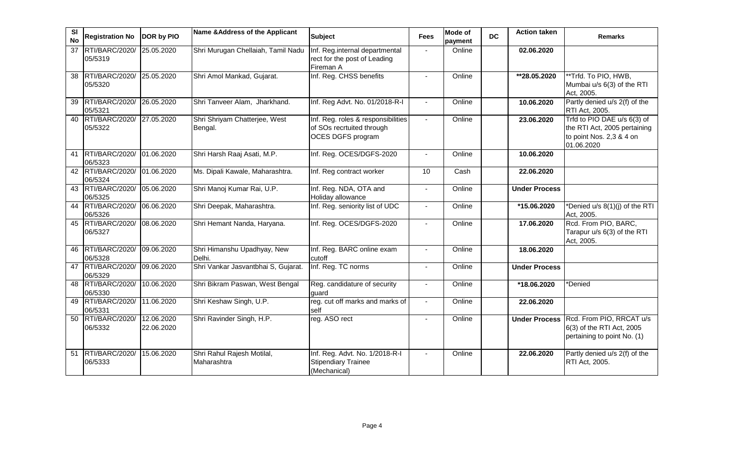| SI<br><b>No</b> | <b>Registration No</b>    | DOR by PIO               | Name & Address of the Applicant           | <b>Subject</b>                                                                       | <b>Fees</b>    | <b>Mode of</b><br>payment | <b>DC</b> | <b>Action taken</b>     | <b>Remarks</b>                                                                                        |
|-----------------|---------------------------|--------------------------|-------------------------------------------|--------------------------------------------------------------------------------------|----------------|---------------------------|-----------|-------------------------|-------------------------------------------------------------------------------------------------------|
| 37              | RTI/BARC/2020/<br>05/5319 | 25.05.2020               | Shri Murugan Chellaiah, Tamil Nadu        | Inf. Reg.internal departmental<br>rect for the post of Leading<br>Fireman A          |                | Online                    |           | 02.06.2020              |                                                                                                       |
| 38              | RTI/BARC/2020/<br>05/5320 | 25.05.2020               | Shri Amol Mankad, Gujarat.                | Inf. Reg. CHSS benefits                                                              | $\sim$         | Online                    |           | **28.05.2020            | **Trfd. To PIO, HWB,<br>Mumbai u/s 6(3) of the RTI<br>Act, 2005.                                      |
| 39              | RTI/BARC/2020/<br>05/5321 | 26.05.2020               | Shri Tanveer Alam, Jharkhand.             | Inf. Reg Advt. No. 01/2018-R-I                                                       |                | Online                    |           | 10.06.2020              | Partly denied u/s 2(f) of the<br>RTI Act, 2005.                                                       |
| 40              | RTI/BARC/2020/<br>05/5322 | 27.05.2020               | Shri Shriyam Chatterjee, West<br>Bengal.  | Inf. Reg. roles & responsibilities<br>of SOs recrtuited through<br>OCES DGFS program | $\sim$         | Online                    |           | 23.06.2020              | Trfd to PIO DAE u/s 6(3) of<br>the RTI Act, 2005 pertaining<br>to point Nos. 2,3 & 4 on<br>01.06.2020 |
| 41              | RTI/BARC/2020/<br>06/5323 | 01.06.2020               | Shri Harsh Raaj Asati, M.P.               | Inf. Reg. OCES/DGFS-2020                                                             |                | Online                    |           | 10.06.2020              |                                                                                                       |
| 42              | RTI/BARC/2020/<br>06/5324 | 01.06.2020               | Ms. Dipali Kawale, Maharashtra.           | Inf. Reg contract worker                                                             | 10             | Cash                      |           | 22.06.2020              |                                                                                                       |
| 43              | RTI/BARC/2020/<br>06/5325 | 05.06.2020               | Shri Manoj Kumar Rai, U.P.                | Inf. Reg. NDA, OTA and<br>Holiday allowance                                          | $\blacksquare$ | Online                    |           | <b>Under Process</b>    |                                                                                                       |
| 44              | RTI/BARC/2020/<br>06/5326 | 06.06.2020               | Shri Deepak, Maharashtra.                 | Inf. Reg. seniority list of UDC                                                      |                | Online                    |           | *15.06.2020             | *Denied u/s 8(1)(j) of the RTI<br>Act, 2005.                                                          |
| 45              | RTI/BARC/2020/<br>06/5327 | 08.06.2020               | Shri Hemant Nanda, Haryana.               | Inf. Reg. OCES/DGFS-2020                                                             |                | Online                    |           | 17.06.2020              | Rcd. From PIO, BARC,<br>Tarapur u/s 6(3) of the RTI<br>Act, 2005.                                     |
| 46              | RTI/BARC/2020/<br>06/5328 | 09.06.2020               | Shri Himanshu Upadhyay, New<br>Delhi.     | Inf. Reg. BARC online exam<br>cutoff                                                 | $\sim$         | Online                    |           | 18.06.2020              |                                                                                                       |
| 47              | RTI/BARC/2020/<br>06/5329 | 09.06.2020               | Shri Vankar Jasvantbhai S, Gujarat.       | Inf. Reg. TC norms                                                                   | $\blacksquare$ | Online                    |           | <b>Under Process</b>    |                                                                                                       |
| 48              | RTI/BARC/2020/<br>06/5330 | 10.06.2020               | Shri Bikram Paswan, West Bengal           | Reg. candidature of security<br>guard                                                | $\sim$         | Online                    |           | $\overline{18.06.2020}$ | *Denied                                                                                               |
| 49              | RTI/BARC/2020/<br>06/5331 | 11.06.2020               | Shri Keshaw Singh, U.P.                   | reg. cut off marks and marks of<br>self                                              |                | Online                    |           | 22.06.2020              |                                                                                                       |
| 50              | RTI/BARC/2020/<br>06/5332 | 12.06.2020<br>22.06.2020 | Shri Ravinder Singh, H.P.                 | reg. ASO rect                                                                        | $\sim$         | Online                    |           | <b>Under Process</b>    | Rcd. From PIO, RRCAT u/s<br>6(3) of the RTI Act, 2005<br>pertaining to point No. (1)                  |
| 51              | RTI/BARC/2020/<br>06/5333 | 15.06.2020               | Shri Rahul Rajesh Motilal,<br>Maharashtra | Inf. Reg. Advt. No. 1/2018-R-I<br><b>Stipendiary Trainee</b><br>(Mechanical)         |                | Online                    |           | 22.06.2020              | Partly denied u/s 2(f) of the<br>RTI Act, 2005.                                                       |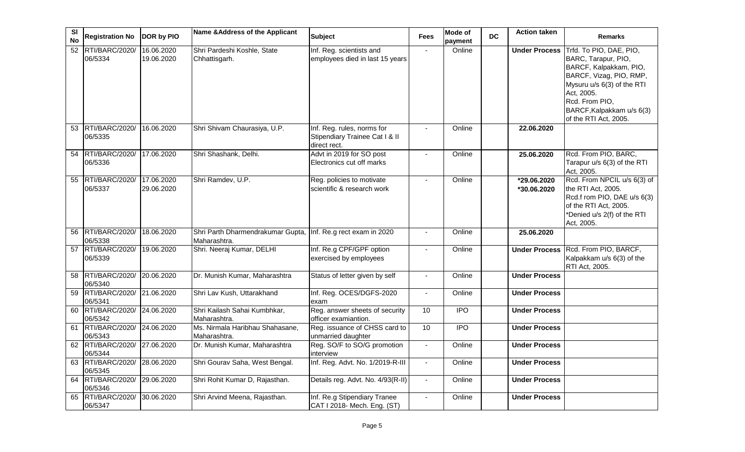| <b>SI</b><br><b>No</b> | <b>Registration No</b>       | DOR by PIO               | Name & Address of the Applicant                                               | <b>Subject</b>                                                               | <b>Fees</b>              | <b>Mode of</b><br>payment | <b>DC</b> | <b>Action taken</b>        | <b>Remarks</b>                                                                                                                                                                                                          |
|------------------------|------------------------------|--------------------------|-------------------------------------------------------------------------------|------------------------------------------------------------------------------|--------------------------|---------------------------|-----------|----------------------------|-------------------------------------------------------------------------------------------------------------------------------------------------------------------------------------------------------------------------|
| $\overline{52}$        | RTI/BARC/2020/<br>06/5334    | 16.06.2020<br>19.06.2020 | Shri Pardeshi Koshle, State<br>Chhattisgarh.                                  | Inf. Reg. scientists and<br>employees died in last 15 years                  | $\sim$                   | Online                    |           | <b>Under Process</b>       | Trfd. To PIO, DAE, PIO,<br>BARC, Tarapur, PIO,<br>BARCF, Kalpakkam, PIO,<br>BARCF, Vizag, PIO, RMP,<br>Mysuru u/s 6(3) of the RTI<br>Act, 2005.<br>Rcd. From PIO,<br>BARCF, Kalpakkam u/s 6(3)<br>of the RTI Act, 2005. |
| 53                     | RTI/BARC/2020/<br>06/5335    | 16.06.2020               | Shri Shivam Chaurasiya, U.P.                                                  | Inf. Reg. rules, norms for<br>Stipendiary Trainee Cat I & II<br>direct rect. |                          | Online                    |           | 22.06.2020                 |                                                                                                                                                                                                                         |
| 54                     | RTI/BARC/2020/<br>06/5336    | 17.06.2020               | Shri Shashank, Delhi.                                                         | Advt in 2019 for SO post<br>Electronics cut off marks                        |                          | Online                    |           | 25.06.2020                 | Rcd. From PIO, BARC,<br>Tarapur u/s 6(3) of the RTI<br>Act, 2005.                                                                                                                                                       |
| 55                     | RTI/BARC/2020/<br>06/5337    | 17.06.2020<br>29.06.2020 | Shri Ramdev, U.P.                                                             | Reg. policies to motivate<br>scientific & research work                      |                          | Online                    |           | *29.06.2020<br>*30.06.2020 | Rcd. From NPCIL u/s 6(3) of<br>the RTI Act, 2005.<br>Rcd.f rom PIO, DAE u/s 6(3)<br>of the RTI Act, 2005.<br>*Denied u/s 2(f) of the RTI<br>Act, 2005.                                                                  |
| 56                     | RTI/BARC/2020/<br>06/5338    | 18.06.2020               | Shri Parth Dharmendrakumar Gupta, Inf. Re.g rect exam in 2020<br>Maharashtra. |                                                                              |                          | Online                    |           | 25.06.2020                 |                                                                                                                                                                                                                         |
| $\overline{57}$        | RTI/BARC/2020/<br>06/5339    | 19.06.2020               | Shri. Neeraj Kumar, DELHI                                                     | Inf. Re.g CPF/GPF option<br>exercised by employees                           |                          | Online                    |           | <b>Under Process</b>       | Rcd. From PIO, BARCF,<br>Kalpakkam u/s 6(3) of the<br>RTI Act, 2005.                                                                                                                                                    |
| 58                     | RTI/BARC/2020/<br>06/5340    | 20.06.2020               | Dr. Munish Kumar, Maharashtra                                                 | Status of letter given by self                                               |                          | Online                    |           | <b>Under Process</b>       |                                                                                                                                                                                                                         |
| 59                     | RTI/BARC/2020/<br>06/5341    | 21.06.2020               | Shri Lav Kush, Uttarakhand                                                    | Inf. Reg. OCES/DGFS-2020<br>exam                                             | $\overline{\phantom{a}}$ | Online                    |           | <b>Under Process</b>       |                                                                                                                                                                                                                         |
| 60                     | RTI/BARC/2020/<br>06/5342    | 24.06.2020               | Shri Kailash Sahai Kumbhkar,<br>Maharashtra.                                  | Reg. answer sheets of security<br>officer examiantion.                       | 10                       | $\overline{IPO}$          |           | <b>Under Process</b>       |                                                                                                                                                                                                                         |
| 61                     | RTI/BARC/2020/<br>06/5343    | 24.06.2020               | Ms. Nirmala Haribhau Shahasane,<br>Maharashtra.                               | Reg. issuance of CHSS card to<br>unmarried daughter                          | 10                       | $\overline{1}$            |           | <b>Under Process</b>       |                                                                                                                                                                                                                         |
|                        | 62 RTI/BARC/2020/<br>06/5344 | 27.06.2020               | Dr. Munish Kumar, Maharashtra                                                 | Reg. SO/F to SO/G promotion<br>interview                                     |                          | Online                    |           | <b>Under Process</b>       |                                                                                                                                                                                                                         |
| 63                     | RTI/BARC/2020/<br>06/5345    | 28.06.2020               | Shri Gourav Saha, West Bengal.                                                | Inf. Reg. Advt. No. 1/2019-R-III                                             | $\overline{\phantom{a}}$ | Online                    |           | <b>Under Process</b>       |                                                                                                                                                                                                                         |
| 64                     | RTI/BARC/2020/<br>06/5346    | 29.06.2020               | Shri Rohit Kumar D, Rajasthan.                                                | Details reg. Advt. No. 4/93(R-II)                                            | $\blacksquare$           | Online                    |           | <b>Under Process</b>       |                                                                                                                                                                                                                         |
| 65                     | RTI/BARC/2020/<br>06/5347    | 30.06.2020               | Shri Arvind Meena, Rajasthan.                                                 | Inf. Re.g Stipendiary Tranee<br>CAT I 2018- Mech. Eng. (ST)                  | $\blacksquare$           | Online                    |           | <b>Under Process</b>       |                                                                                                                                                                                                                         |